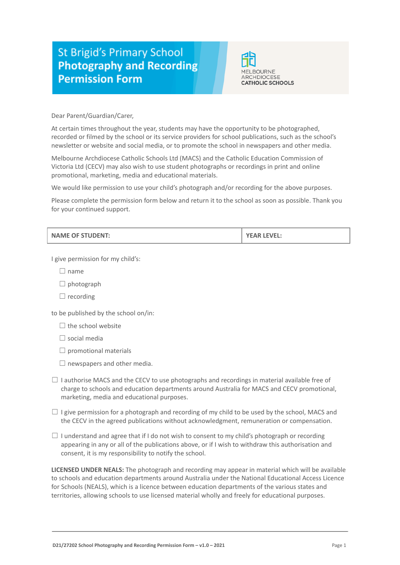## **St Brigid's Primary School Photography and Recording Permission Form**



Dear Parent/Guardian/Carer,

At certain times throughout the year, students may have the opportunity to be photographed, recorded or filmed by the school or its service providers for school publications, such as the school's newsletter or website and social media, or to promote the school in newspapers and other media.

Melbourne Archdiocese Catholic Schools Ltd (MACS) and the Catholic Education Commission of Victoria Ltd (CECV) may also wish to use student photographs or recordings in print and online promotional, marketing, media and educational materials.

We would like permission to use your child's photograph and/or recording for the above purposes.

Please complete the permission form below and return it to the school as soon as possible. Thank you for your continued support.

I give permission for my child's:

- $\Box$  name
- $\Box$  photograph
- $\Box$  recording

to be published by the school on/in:

 $\Box$  the school website

☐ social media

 $\Box$  promotional materials

- $\Box$  newspapers and other media.
- $\Box$  I authorise MACS and the CECV to use photographs and recordings in material available free of charge to schools and education departments around Australia for MACS and CECV promotional, marketing, media and educational purposes.
- $\Box$  I give permission for a photograph and recording of my child to be used by the school, MACS and the CECV in the agreed publications without acknowledgment, remuneration or compensation.
- $\Box$  I understand and agree that if I do not wish to consent to my child's photograph or recording appearing in any or all of the publications above, or if I wish to withdraw this authorisation and consent, it is my responsibility to notify the school.

**LICENSED UNDER NEALS:** The photograph and recording may appear in material which will be available to schools and education departments around Australia under the National Educational Access Licence for Schools (NEALS), which is a licence between education departments of the various states and territories, allowing schools to use licensed material wholly and freely for educational purposes.